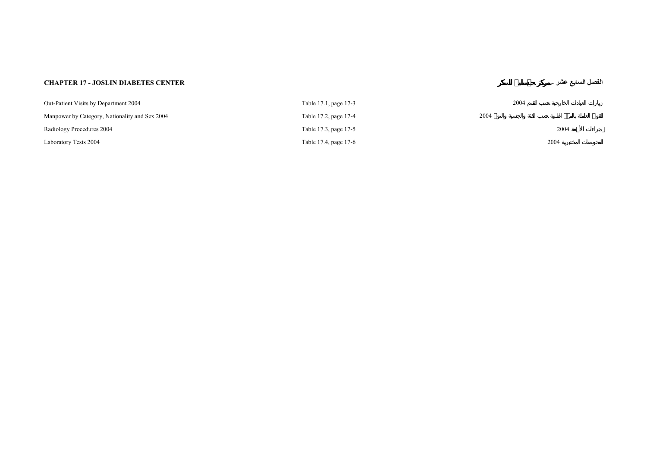## **CHAPTER 17 - JOSLIN DIABETES CENTER -**

## **عشر السابع الفصل**

| Out-Patient Visits by Department 2004          | Table 17.1, page 17-3 | 2004 |      |
|------------------------------------------------|-----------------------|------|------|
| Manpower by Category, Nationality and Sex 2004 | Table 17.2, page 17-4 | 2004 |      |
| Radiology Procedures 2004                      | Table 17.3, page 17-5 |      | 2004 |
| Laboratory Tests 2004                          | Table 17.4, page 17-6 |      | 2004 |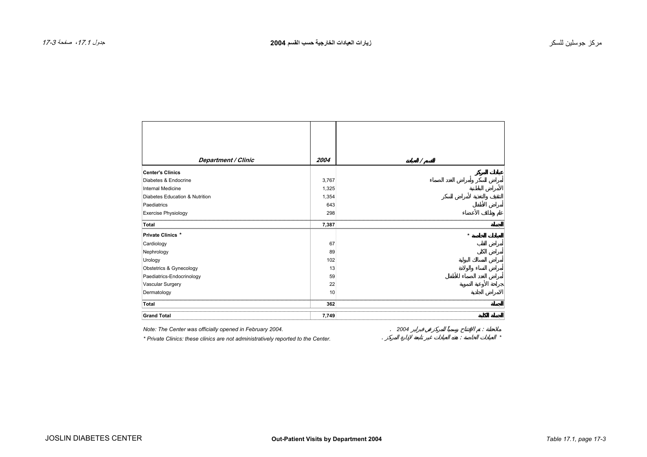<span id="page-2-0"></span>

|                                | 2004            |         |
|--------------------------------|-----------------|---------|
| Department / Clinic            |                 | 7       |
| <b>Center's Clinics</b>        |                 |         |
| Diabetes & Endocrine           | 3,767           |         |
| <b>Internal Medicine</b>       | 1,325           |         |
| Diabetes Education & Nutrition | 1,354           |         |
| Paediatrics                    | 643             |         |
| <b>Exercise Physiology</b>     | 298             |         |
| Total                          | 7,387           |         |
| Private Clinics *              |                 | $\star$ |
| Cardiology                     | 67              |         |
| Nephrology                     | 89              |         |
| Urology                        | 102             |         |
| Obstetrics & Gynecology        | 13              |         |
| Paediatrics-Endocrinology      | 59              |         |
| Vascular Surgery               | 22              |         |
| Dermatology                    | 10 <sup>1</sup> |         |
| Total                          | 362             |         |
| <b>Grand Total</b>             | 7,749           |         |

*Note: The Center was officially opened in February 2004.* . *2004* : *\* Private Clinics: these clinics are not administratively reported to the Center.* . : *\**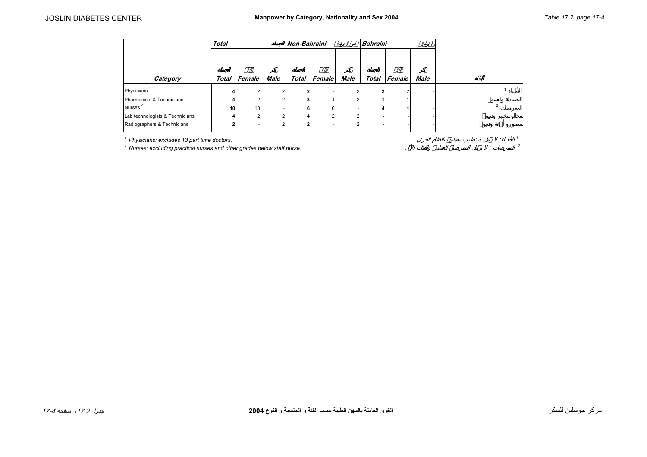<span id="page-3-0"></span>

|                                 | <b>Total</b> |                 |      | Non-Bahraini |              |      | <b>Bahraini</b> |        |             |  |
|---------------------------------|--------------|-----------------|------|--------------|--------------|------|-----------------|--------|-------------|--|
| Category                        |              | Total Female    | Male |              | Total Female | Male | <b>Total</b>    | Female | <b>Male</b> |  |
| Physicians                      |              |                 |      | 2            |              |      |                 |        |             |  |
| Pharmacists & Technicians       |              |                 |      | 3            |              |      |                 |        |             |  |
| Nurses <sup>2</sup>             | 10           | 10 <sub>1</sub> |      | 6            | ĥ            |      |                 |        |             |  |
| Lab technologists & Technicians |              |                 |      | 4            |              |      |                 |        |             |  |
| Radiographers & Technicians     |              |                 |      | 2            |              |      |                 |        |             |  |

*1 Physicians: excludes 13 part time doctors.* . *<sup>13</sup>* : *<sup>1</sup>*

 $^2$  Nurses: excluding practical nurses and other grades below staff nurse.  $\,$   $\,$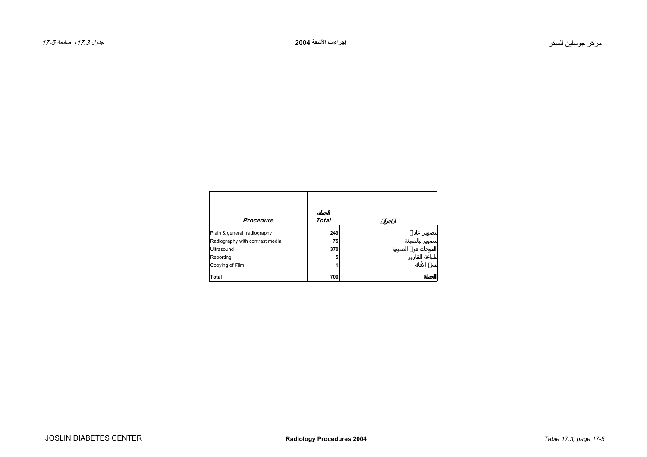<span id="page-4-0"></span>

| Procedure                       | Total |
|---------------------------------|-------|
| Plain & general radiography     | 249   |
| Radiography with contrast media | 75    |
| <b>Ultrasound</b>               | 370   |
| Reporting                       | 5     |
| Copying of Film                 |       |
| Total                           | 700   |